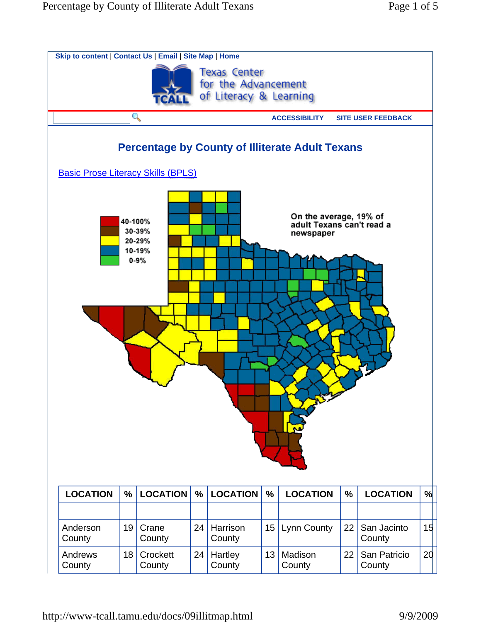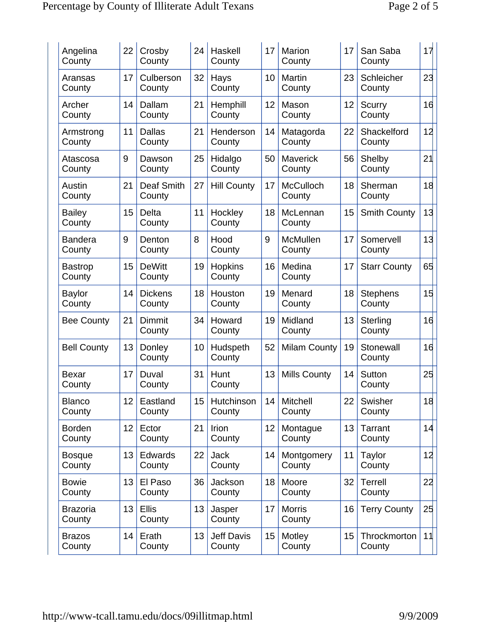| Angelina<br>County        | 22 | Crosby<br>County            | 24 | Haskell<br>County           | 17 | Marion<br>County           | 17 | San Saba<br>County        | 17 |
|---------------------------|----|-----------------------------|----|-----------------------------|----|----------------------------|----|---------------------------|----|
| Aransas<br>County         | 17 | Culberson<br>County         | 32 | Hays<br>County              | 10 | Martin<br>County           | 23 | Schleicher<br>County      | 23 |
| Archer<br>County          | 14 | Dallam<br>County            | 21 | Hemphill<br>County          | 12 | Mason<br>County            | 12 | Scurry<br>County          | 16 |
| Armstrong<br>County       | 11 | <b>Dallas</b><br>County     | 21 | Henderson<br>County         | 14 | Matagorda<br>County        | 22 | Shackelford<br>County     | 12 |
| Atascosa<br>County        | 9  | Dawson<br>County            | 25 | Hidalgo<br>County           | 50 | <b>Maverick</b><br>County  | 56 | Shelby<br>County          | 21 |
| Austin<br>County          | 21 | <b>Deaf Smith</b><br>County | 27 | <b>Hill County</b>          | 17 | <b>McCulloch</b><br>County | 18 | Sherman<br>County         | 18 |
| <b>Bailey</b><br>County   | 15 | <b>Delta</b><br>County      | 11 | Hockley<br>County           | 18 | McLennan<br>County         | 15 | <b>Smith County</b>       | 13 |
| <b>Bandera</b><br>County  | 9  | Denton<br>County            | 8  | Hood<br>County              | 9  | <b>McMullen</b><br>County  | 17 | Somervell<br>County       | 13 |
| <b>Bastrop</b><br>County  | 15 | <b>DeWitt</b><br>County     | 19 | Hopkins<br>County           | 16 | Medina<br>County           | 17 | <b>Starr County</b>       | 65 |
| <b>Baylor</b><br>County   | 14 | <b>Dickens</b><br>County    | 18 | Houston<br>County           | 19 | Menard<br>County           | 18 | <b>Stephens</b><br>County | 15 |
| <b>Bee County</b>         | 21 | Dimmit<br>County            | 34 | Howard<br>County            | 19 | Midland<br>County          | 13 | Sterling<br>County        | 16 |
| <b>Bell County</b>        | 13 | Donley<br>County            | 10 | Hudspeth<br>County          | 52 | <b>Milam County</b>        | 19 | Stonewall<br>County       | 16 |
| <b>Bexar</b><br>County    | 17 | Duval<br>County             | 31 | Hunt<br>County              | 13 | <b>Mills County</b>        | 14 | Sutton<br>County          | 25 |
| <b>Blanco</b><br>County   | 12 | Eastland<br>County          | 15 | Hutchinson<br>County        | 14 | Mitchell<br>County         | 22 | Swisher<br>County         | 18 |
| <b>Borden</b><br>County   | 12 | Ector<br>County             | 21 | Irion<br>County             | 12 | Montague<br>County         | 13 | <b>Tarrant</b><br>County  | 14 |
| <b>Bosque</b><br>County   | 13 | Edwards<br>County           | 22 | <b>Jack</b><br>County       | 14 | Montgomery<br>County       | 11 | Taylor<br>County          | 12 |
| <b>Bowie</b><br>County    | 13 | El Paso<br>County           | 36 | Jackson<br>County           | 18 | Moore<br>County            | 32 | <b>Terrell</b><br>County  | 22 |
| <b>Brazoria</b><br>County | 13 | <b>Ellis</b><br>County      | 13 | Jasper<br>County            | 17 | <b>Morris</b><br>County    | 16 | <b>Terry County</b>       | 25 |
| <b>Brazos</b><br>County   | 14 | Erath<br>County             | 13 | <b>Jeff Davis</b><br>County | 15 | Motley<br>County           | 15 | Throckmorton<br>County    | 11 |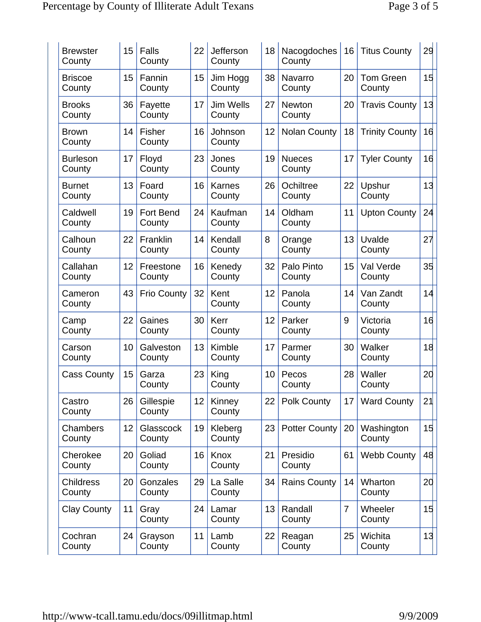| <b>Brewster</b><br>County  | 15 | <b>Falls</b><br>County  | 22 | <b>Jefferson</b><br>County | 18 | Nacogdoches<br>County   | 16             | <b>Titus County</b>        | 29 |
|----------------------------|----|-------------------------|----|----------------------------|----|-------------------------|----------------|----------------------------|----|
| <b>Briscoe</b><br>County   | 15 | Fannin<br>County        | 15 | Jim Hogg<br>County         | 38 | Navarro<br>County       | 20             | <b>Tom Green</b><br>County | 15 |
| <b>Brooks</b><br>County    | 36 | Fayette<br>County       | 17 | Jim Wells<br>County        | 27 | <b>Newton</b><br>County | 20             | <b>Travis County</b>       | 13 |
| <b>Brown</b><br>County     | 14 | <b>Fisher</b><br>County | 16 | Johnson<br>County          | 12 | <b>Nolan County</b>     | 18             | <b>Trinity County</b>      | 16 |
| <b>Burleson</b><br>County  | 17 | Floyd<br>County         | 23 | Jones<br>County            | 19 | <b>Nueces</b><br>County | 17             | <b>Tyler County</b>        | 16 |
| <b>Burnet</b><br>County    | 13 | Foard<br>County         | 16 | <b>Karnes</b><br>County    | 26 | Ochiltree<br>County     | 22             | Upshur<br>County           | 13 |
| Caldwell<br>County         | 19 | Fort Bend<br>County     | 24 | Kaufman<br>County          | 14 | Oldham<br>County        | 11             | <b>Upton County</b>        | 24 |
| Calhoun<br>County          | 22 | Franklin<br>County      | 14 | Kendall<br>County          | 8  | Orange<br>County        | 13             | Uvalde<br>County           | 27 |
| Callahan<br>County         | 12 | Freestone<br>County     | 16 | Kenedy<br>County           | 32 | Palo Pinto<br>County    | 15             | Val Verde<br>County        | 35 |
| Cameron<br>County          | 43 | <b>Frio County</b>      | 32 | Kent<br>County             | 12 | Panola<br>County        | 14             | Van Zandt<br>County        | 14 |
| Camp<br>County             | 22 | Gaines<br>County        | 30 | Kerr<br>County             | 12 | Parker<br>County        | 9              | Victoria<br>County         | 16 |
| Carson<br>County           | 10 | Galveston<br>County     | 13 | Kimble<br>County           | 17 | Parmer<br>County        | 30             | Walker<br>County           | 18 |
| <b>Cass County</b>         | 15 | Garza<br>County         | 23 | King<br>County             | 10 | Pecos<br>County         | 28             | Waller<br>County           | 20 |
| Castro<br>County           | 26 | Gillespie<br>County     | 12 | Kinney<br>County           | 22 | <b>Polk County</b>      | 17             | <b>Ward County</b>         | 21 |
| Chambers<br>County         | 12 | Glasscock<br>County     | 19 | Kleberg<br>County          | 23 | <b>Potter County</b>    | 20             | Washington<br>County       | 15 |
| Cherokee<br>County         | 20 | Goliad<br>County        | 16 | Knox<br>County             | 21 | Presidio<br>County      | 61             | <b>Webb County</b>         | 48 |
| <b>Childress</b><br>County | 20 | Gonzales<br>County      | 29 | La Salle<br>County         | 34 | <b>Rains County</b>     | 14             | Wharton<br>County          | 20 |
| <b>Clay County</b>         | 11 | Gray<br>County          | 24 | Lamar<br>County            | 13 | Randall<br>County       | $\overline{7}$ | Wheeler<br>County          | 15 |
| Cochran<br>County          | 24 | Grayson<br>County       | 11 | Lamb<br>County             | 22 | Reagan<br>County        | 25             | Wichita<br>County          | 13 |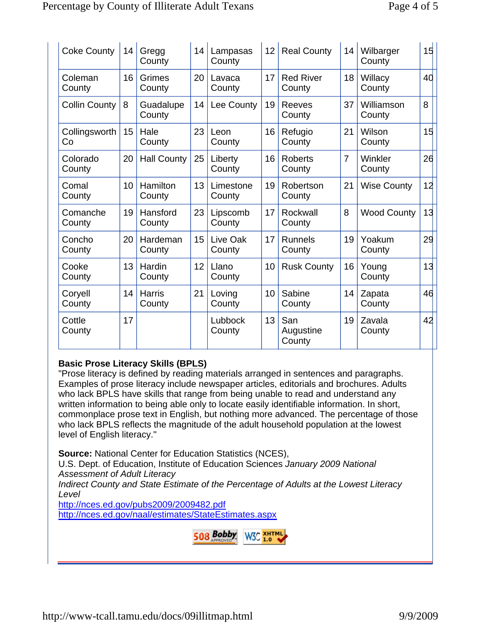| <b>Coke County</b>   | 14 | Gregg<br>County         | 14 | Lampasas<br>County  | 12 | <b>Real County</b>         | 14             | Wilbarger<br>County  | 15 |
|----------------------|----|-------------------------|----|---------------------|----|----------------------------|----------------|----------------------|----|
| Coleman<br>County    | 16 | Grimes<br>County        | 20 | Lavaca<br>County    | 17 | <b>Red River</b><br>County | 18             | Willacy<br>County    | 40 |
| <b>Collin County</b> | 8  | Guadalupe<br>County     | 14 | Lee County          | 19 | Reeves<br>County           | 37             | Williamson<br>County | 8  |
| Collingsworth<br>Co  | 15 | Hale<br>County          | 23 | Leon<br>County      | 16 | Refugio<br>County          | 21             | Wilson<br>County     | 15 |
| Colorado<br>County   | 20 | <b>Hall County</b>      | 25 | Liberty<br>County   | 16 | <b>Roberts</b><br>County   | $\overline{7}$ | Winkler<br>County    | 26 |
| Comal<br>County      | 10 | Hamilton<br>County      | 13 | Limestone<br>County | 19 | Robertson<br>County        | 21             | <b>Wise County</b>   | 12 |
| Comanche<br>County   | 19 | Hansford<br>County      | 23 | Lipscomb<br>County  | 17 | Rockwall<br>County         | 8              | <b>Wood County</b>   | 13 |
| Concho<br>County     | 20 | Hardeman<br>County      | 15 | Live Oak<br>County  | 17 | <b>Runnels</b><br>County   | 19             | Yoakum<br>County     | 29 |
| Cooke<br>County      | 13 | Hardin<br>County        | 12 | Llano<br>County     | 10 | <b>Rusk County</b>         | 16             | Young<br>County      | 13 |
| Coryell<br>County    | 14 | <b>Harris</b><br>County | 21 | Loving<br>County    | 10 | Sabine<br>County           | 14             | Zapata<br>County     | 46 |
| Cottle<br>County     | 17 |                         |    | Lubbock<br>County   | 13 | San<br>Augustine<br>County | 19             | Zavala<br>County     | 42 |

## **Basic Prose Literacy Skills (BPLS)**

"Prose literacy is defined by reading materials arranged in sentences and paragraphs. Examples of prose literacy include newspaper articles, editorials and brochures. Adults who lack BPLS have skills that range from being unable to read and understand any written information to being able only to locate easily identifiable information. In short, commonplace prose text in English, but nothing more advanced. The percentage of those who lack BPLS reflects the magnitude of the adult household population at the lowest level of English literacy."

**Source:** National Center for Education Statistics (NCES),

U.S. Dept. of Education, Institute of Education Sciences *January 2009 National Assessment of Adult Literacy* 

*Indirect County and State Estimate of the Percentage of Adults at the Lowest Literacy Level*

http://nces.ed.gov/pubs2009/2009482.pdf http://nces.ed.gov/naal/estimates/StateEstimates.aspx